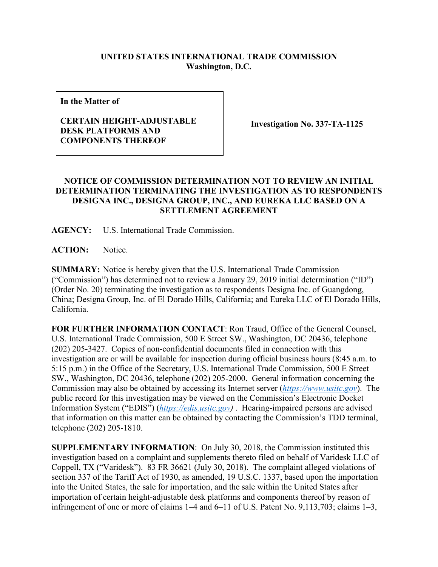## **UNITED STATES INTERNATIONAL TRADE COMMISSION Washington, D.C.**

**In the Matter of**

## **CERTAIN HEIGHT-ADJUSTABLE DESK PLATFORMS AND COMPONENTS THEREOF**

**Investigation No. 337-TA-1125**

## **NOTICE OF COMMISSION DETERMINATION NOT TO REVIEW AN INITIAL DETERMINATION TERMINATING THE INVESTIGATION AS TO RESPONDENTS DESIGNA INC., DESIGNA GROUP, INC., AND EUREKA LLC BASED ON A SETTLEMENT AGREEMENT**

**AGENCY:** U.S. International Trade Commission.

**ACTION:** Notice.

**SUMMARY:** Notice is hereby given that the U.S. International Trade Commission ("Commission") has determined not to review a January 29, 2019 initial determination ("ID") (Order No. 20) terminating the investigation as to respondents Designa Inc. of Guangdong, China; Designa Group, Inc. of El Dorado Hills, California; and Eureka LLC of El Dorado Hills, California.

**FOR FURTHER INFORMATION CONTACT**: Ron Traud, Office of the General Counsel, U.S. International Trade Commission, 500 E Street SW., Washington, DC 20436, telephone (202) 205-3427. Copies of non-confidential documents filed in connection with this investigation are or will be available for inspection during official business hours (8:45 a.m. to 5:15 p.m.) in the Office of the Secretary, U.S. International Trade Commission, 500 E Street SW., Washington, DC 20436, telephone (202) 205-2000. General information concerning the Commission may also be obtained by accessing its Internet server (*[https://www.usitc.gov](https://www.usitc.gov/)*). The public record for this investigation may be viewed on the Commission's Electronic Docket Information System ("EDIS") (*[https://edis.usitc.gov\)](https://edis.usitc.gov/)* . Hearing-impaired persons are advised that information on this matter can be obtained by contacting the Commission's TDD terminal, telephone (202) 205-1810.

**SUPPLEMENTARY INFORMATION**: On July 30, 2018, the Commission instituted this investigation based on a complaint and supplements thereto filed on behalf of Varidesk LLC of Coppell, TX ("Varidesk"). 83 FR 36621 (July 30, 2018). The complaint alleged violations of section 337 of the Tariff Act of 1930, as amended, 19 U.S.C. 1337, based upon the importation into the United States, the sale for importation, and the sale within the United States after importation of certain height-adjustable desk platforms and components thereof by reason of infringement of one or more of claims 1–4 and 6–11 of U.S. Patent No. 9,113,703; claims 1–3,